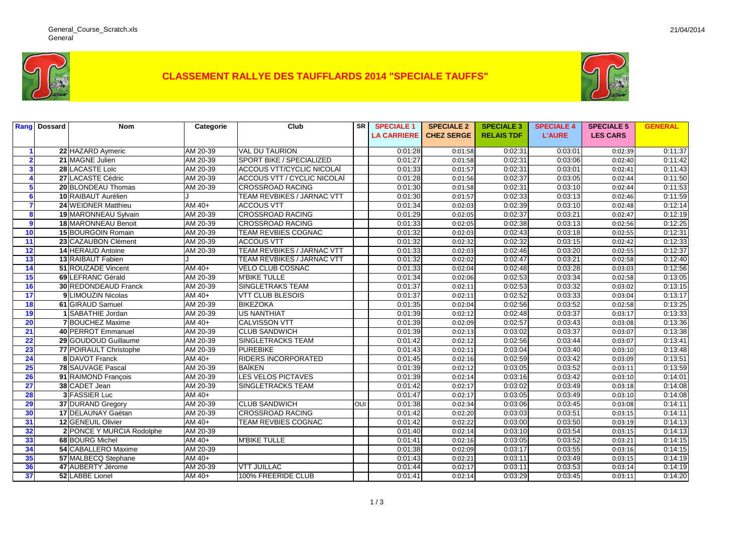

## **CLASSEMENT RALLYE DES TAUFFLARDS 2014 "SPECIALE TAUFFS"**



|                 | <b>Rang</b> Dossard | <b>Nom</b>                  | Categorie | Club                            | <b>SR</b> | <b>SPECIALE 1</b>  | <b>SPECIALE 2</b> | <b>SPECIALE 3</b> | <b>SPECIALE 4</b> | <b>SPECIALE 5</b> | <b>GENERAL</b> |
|-----------------|---------------------|-----------------------------|-----------|---------------------------------|-----------|--------------------|-------------------|-------------------|-------------------|-------------------|----------------|
|                 |                     |                             |           |                                 |           | <b>LA CARRIERE</b> | <b>CHEZ SERGE</b> | <b>RELAIS TDF</b> | <b>L'AURE</b>     | <b>LES CARS</b>   |                |
|                 |                     |                             |           |                                 |           |                    |                   |                   |                   |                   |                |
|                 |                     | 22 HAZARD Aymeric           | AM 20-39  | <b>VAL DU TAURION</b>           |           | 0:01:28            | 0:01:58           | 0:02:31           | 0:03:01           | 0:02:39           | 0:11:37        |
|                 |                     | 21 MAGNE Julien             | AM 20-39  | <b>SPORT BIKE / SPECIALIZED</b> |           | 0:01:27            | 0:01:58           | 0:02:31           | 0:03:06           | 0:02:40           | 0:11:42        |
| 3               |                     | 28 LACASTE Loïc             | AM 20-39  | ACCOUS VTT/CYCLIC NICOLAÏ       |           | 0:01:33            | 0:01:57           | 0:02:31           | 0:03:01           | 0:02:41           | 0:11:43        |
|                 |                     | 27 LACASTE Cédric           | AM 20-39  | ACCOUS VTT / CYCLIC NICOLAÏ     |           | 0:01:28            | 0:01:56           | 0:02:37           | 0:03:05           | 0:02:44           | 0:11:50        |
| 5               |                     | 20 BLONDEAU Thomas          | AM 20-39  | <b>CROSSROAD RACING</b>         |           | 0:01:30            | 0:01:58           | 0:02:31           | 0:03:10           | 0:02:44           | 0:11:53        |
| 6               |                     | 10 RAIBAUT Aurélien         |           | TEAM REVBIKES / JARNAC VTT      |           | 0:01:30            | 0:01:57           | 0:02:33           | 0:03:13           | 0:02:46           | 0:11:59        |
|                 |                     | 24 WEIDNER Matthieu         | $AM40+$   | <b>ACCOUS VTT</b>               |           | 0:01:34            | 0:02:03           | 0:02:39           | 0:03:10           | 0:02:48           | 0:12:14        |
| 8               |                     | 19 MARONNEAU Sylvain        | AM 20-39  | <b>CROSSROAD RACING</b>         |           | 0:01:29            | 0:02:05           | 0:02:37           | 0:03:21           | 0:02:47           | 0:12:19        |
| 9               |                     | 18 MARONNEAU Benoit         | AM 20-39  | <b>CROSSROAD RACING</b>         |           | 0:01:33            | 0:02:05           | 0:02:38           | 0:03:13           | 0:02:56           | 0:12:25        |
| 10              |                     | 15 BOURGOIN Romain          | AM 20-39  | <b>TEAM REVBIES COGNAC</b>      |           | 0:01:32            | 0:02:03           | 0:02:43           | 0:03:18           | 0:02:55           | 0:12:31        |
| 11              |                     | 23 CAZAUBON Clément         | AM 20-39  | <b>ACCOUS VTT</b>               |           | 0:01:32            | 0:02:32           | 0:02:32           | 0:03:15           | 0:02:42           | 0:12:33        |
| $\overline{12}$ |                     | 14 HERAUD Antoine           | AM 20-39  | TEAM REVBIKES / JARNAC VTT      |           | 0:01:33            | 0:02:03           | 0:02:46           | 0:03:20           | 0:02:55           | 0:12:37        |
| 13              |                     | 13 RAIBAUT Fabien           |           | TEAM REVBIKES / JARNAC VTT      |           | 0:01:32            | 0:02:02           | 0:02:47           | 0:03:21           | 0:02:58           | 0:12:40        |
| 14              |                     | 51 ROUZADE Vincent          | $AM40+$   | <b>VELO CLUB COSNAC</b>         |           | 0:01:33            | 0:02:04           | 0:02:48           | 0:03:28           | 0:03:03           | 0:12:56        |
| 15              |                     | 69 LEFRANC Gérald           | AM 20-39  | <b>M'BIKE TULLE</b>             |           | 0:01:34            | 0:02:06           | 0:02:53           | 0:03:34           | 0:02:58           | 0:13:05        |
| 16              |                     | <b>30 REDONDEAUD Franck</b> | AM 20-39  | SINGLETRAKS TEAM                |           | 0:01:37            | 0:02:11           | 0:02:53           | 0:03:32           | 0:03:02           | 0:13:15        |
| 17              |                     | 9 LIMOUZIN Nicolas          | AM 40+    | <b>VTT CLUB BLESOIS</b>         |           | 0:01:37            | 0:02:11           | 0:02:52           | 0:03:33           | 0:03:04           | 0:13:17        |
| 18              |                     | 61 GIRAUD Samuel            | AM 20-39  | <b>BIKEZOKA</b>                 |           | 0:01:35            | 0:02:04           | 0:02:56           | 0:03:52           | 0:02:58           | 0:13:25        |
| 19              |                     | 1 SABATHIE Jordan           | AM 20-39  | <b>US NANTHIAT</b>              |           | 0:01:39            | 0:02:12           | 0:02:48           | 0:03:37           | 0:03:17           | 0:13:33        |
| 20              |                     | 7 BOUCHEZ Maxime            | $AM40+$   | <b>CALVISSON VTT</b>            |           | 0:01:39            | 0:02:09           | 0:02:57           | 0:03:43           | 0:03:08           | 0:13:36        |
| 21              |                     | 40 PERROT Emmanuel          | AM 20-39  | <b>CLUB SANDWICH</b>            |           | 0:01:39            | 0:02:13           | 0:03:02           | 0:03:37           | 0:03:07           | 0:13:38        |
| 22              |                     | 29 GOUDOUD Guillaume        | AM 20-39  | <b>SINGLETRACKS TEAM</b>        |           | 0:01:42            | 0:02:12           | 0:02:56           | 0:03:44           | 0:03:07           | 0:13:41        |
| 23              |                     | 77 POIRAULT Christophe      | AM 20-39  | <b>PUREBIKE</b>                 |           | 0:01:43            | 0:02:11           | 0:03:04           | 0:03:40           | 0:03:10           | 0:13:48        |
| 24              |                     | <b>8 DAVOT Franck</b>       | $AM$ 40+  | <b>RIDERS INCORPORATED</b>      |           | 0:01:45            | 0:02:16           | 0:02:59           | 0:03:42           | 0:03:09           | 0:13:51        |
| 25              |                     | 78 SAUVAGE Pascal           | AM 20-39  | <b>BAÏKEN</b>                   |           | 0:01:39            | 0:02:12           | 0:03:05           | 0:03:52           | 0:03:11           | 0:13:59        |
| 26              |                     | 91 RAIMOND Francois         | AM 20-39  | LES VELOS PICTAVES              |           | 0:01:39            | 0:02:14           | 0:03:16           | 0:03:42           | 0:03:10           | 0:14:01        |
| 27              |                     | 38 CADET Jean               | AM 20-39  | <b>SINGLETRACKS TEAM</b>        |           | 0:01:42            | 0:02:17           | 0:03:02           | 0:03:49           | 0:03:18           | 0:14:08        |
| 28              |                     | 3 FASSIER Luc               | $AM40+$   |                                 |           | 0:01:47            | 0:02:17           | 0:03:05           | 0:03:49           | 0:03:10           | 0:14:08        |
| 29              |                     | 37 DURAND Gregory           | AM 20-39  | <b>CLUB SANDWICH</b>            | OUI       | 0:01:38            | 0:02:34           | 0:03:06           | 0:03:45           | 0:03:08           | 0:14:11        |
| 30              |                     | 17 DELAUNAY Gaëtan          | AM 20-39  | <b>CROSSROAD RACING</b>         |           | 0:01:42            | 0:02:20           | 0:03:03           | 0:03:51           | 0:03:15           | 0:14:11        |
| 31              |                     | 12 GENEUIL Olivier          | AM $40+$  | TEAM REVBIES COGNAC             |           | 0:01:42            | 0:02:22           | 0:03:00           | 0:03:50           | 0:03:19           | 0:14:13        |
| 32              |                     | 2 PONCE Y MURCIA Rodolphe   | AM 20-39  |                                 |           | 0:01:40            | 0:02:14           | 0:03:10           | 0:03:54           | 0:03:15           | 0:14:13        |
| 33              |                     | 68 BOURG Michel             | AM 40+    | <b>M'BIKE TULLE</b>             |           | 0:01:41            | 0:02:16           | 0:03:05           | 0:03:52           | 0:03:21           | 0:14:15        |
| 34              |                     | 54 CABALLERO Maxime         | AM 20-39  |                                 |           | 0:01:38            | 0:02:09           | 0:03:17           | 0:03:55           | 0:03:16           | 0:14:15        |
| 35              |                     | 57 MALBECQ Stephane         | AM $40+$  |                                 |           | 0:01:43            | 0:02:21           | 0:03:11           | 0:03:49           | 0:03:15           | 0:14:19        |
| 36              |                     | 47 AUBERTY Jérome           | AM 20-39  | <b>VTT JUILLAC</b>              |           | 0:01:44            | 0:02:17           | 0:03:11           | 0:03:53           | 0:03:14           | 0:14:19        |
| 37              |                     | 52 LABBE Lionel             | AM 40+    | 100% FREERIDE CLUB              |           | 0:01:41            | 0:02:14           | 0:03:29           | 0:03:45           | 0:03:11           | 0:14:20        |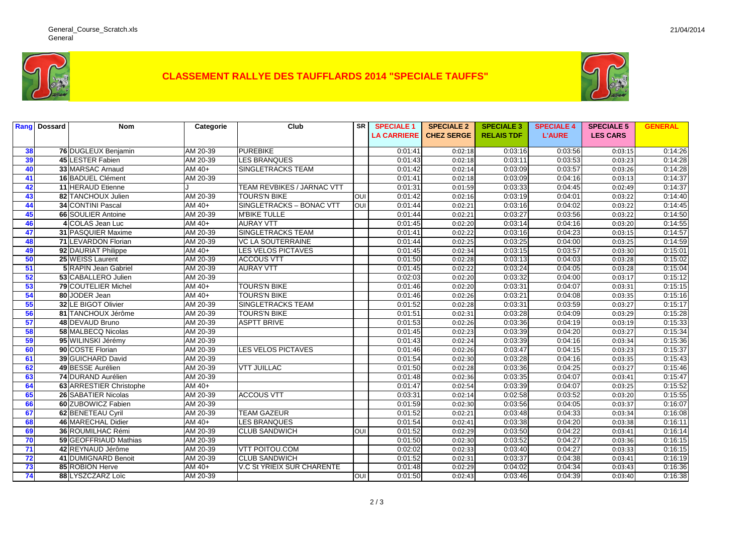

## **CLASSEMENT RALLYE DES TAUFFLARDS 2014 "SPECIALE TAUFFS"**



|    | <b>Rang</b> Dossard | <b>Nom</b>                  | Categorie | Club                              | SR         | <b>SPECIALE 1</b>  | <b>SPECIALE 2</b> | <b>SPECIALE 3</b> | <b>SPECIALE 4</b> | <b>SPECIALE 5</b> | <b>GENERAL</b> |
|----|---------------------|-----------------------------|-----------|-----------------------------------|------------|--------------------|-------------------|-------------------|-------------------|-------------------|----------------|
|    |                     |                             |           |                                   |            | <b>LA CARRIERE</b> | <b>CHEZ SERGE</b> | <b>RELAIS TDF</b> | <b>L'AURE</b>     | <b>LES CARS</b>   |                |
|    |                     |                             |           |                                   |            |                    |                   |                   |                   |                   |                |
| 38 |                     | 76 DUGLEUX Benjamin         | AM 20-39  | <b>PUREBIKE</b>                   |            | 0:01:41            | 0:02:18           | 0:03:16           | 0:03:56           | 0:03:15           | 0:14:26        |
| 39 |                     | 45 LESTER Fabien            | AM 20-39  | <b>LES BRANQUES</b>               |            | 0:01:43            | 0:02:18           | 0:03:11           | 0:03:53           | 0:03:23           | 0:14:28        |
| 40 |                     | 33 MARSAC Arnaud            | $AM$ 40+  | <b>SINGLETRACKS TEAM</b>          |            | 0:01:42            | 0:02:14           | 0:03:09           | 0:03:57           | 0:03:26           | 0:14:28        |
| 41 |                     | 16 BADUEL Clément           | AM 20-39  |                                   |            | 0:01:41            | 0:02:18           | 0:03:09           | 0:04:16           | 0:03:13           | 0:14:37        |
| 42 |                     | 11 HERAUD Etienne           |           | TEAM REVBIKES / JARNAC VTT        |            | 0:01:31            | 0:01:59           | 0:03:33           | 0:04:45           | 0:02:49           | 0:14:37        |
| 43 |                     | 82 TANCHOUX Julien          | AM 20-39  | <b>TOURS'N BIKE</b>               | OUI        | 0:01:42            | 0:02:16           | 0:03:19           | 0:04:01           | 0:03:22           | 0:14:40        |
| 44 |                     | 34 CONTINI Pascal           | AM 40+    | SINGLETRACKS - BONAC VTT          | OUI        | 0:01:44            | 0:02:21           | 0:03:16           | 0:04:02           | 0:03:22           | 0:14:45        |
| 45 |                     | 66 SOULIER Antoine          | AM 20-39  | <b>M'BIKE TULLE</b>               |            | 0:01:44            | 0:02:21           | 0:03:27           | 0:03:56           | 0:03:22           | 0:14:50        |
| 46 |                     | 4 COLAS Jean Luc            | AM $40+$  | <b>AURAY VTT</b>                  |            | 0:01:45            | 0:02:20           | 0:03:14           | 0:04:16           | 0:03:20           | 0:14:55        |
| 47 |                     | <b>31 PASQUIER Maxime</b>   | AM 20-39  | <b>SINGLETRACKS TEAM</b>          |            | 0:01:41            | 0:02:22           | 0:03:16           | 0:04:23           | 0:03:15           | 0:14:57        |
| 48 |                     | 71 LEVARDON Florian         | AM 20-39  | <b>VC LA SOUTERRAINE</b>          |            | 0:01:44            | 0:02:25           | 0:03:25           | 0:04:00           | 0:03:25           | 0:14:59        |
| 49 |                     | 92 DAURIAT Philippe         | AM 40+    | <b>LES VELOS PICTAVES</b>         |            | 0:01:45            | 0:02:34           | 0:03:15           | 0:03:57           | 0:03:30           | 0:15:01        |
| 50 |                     | 25 WEISS Laurent            | AM 20-39  | <b>ACCOUS VTT</b>                 |            | 0:01:50            | 0:02:28           | 0:03:13           | 0:04:03           | 0:03:28           | 0:15:02        |
| 51 |                     | <b>5 RAPIN Jean Gabriel</b> | AM 20-39  | <b>AURAY VTT</b>                  |            | 0:01:45            | 0:02:22           | 0:03:24           | 0:04:05           | 0:03:28           | 0:15:04        |
| 52 |                     | 53 CABALLERO Julien         | AM 20-39  |                                   |            | 0:02:03            | 0:02:20           | 0:03:32           | 0:04:00           | 0:03:17           | 0:15:12        |
| 53 |                     | 79 COUTELIER Michel         | AM 40+    | <b>TOURS'N BIKE</b>               |            | 0:01:46            | 0:02:20           | 0:03:31           | 0:04:07           | 0:03:31           | 0:15:15        |
| 54 |                     | 80 JODER Jean               | AM 40+    | <b>TOURS'N BIKE</b>               |            | 0:01:46            | 0:02:26           | 0:03:21           | 0:04:08           | 0:03:35           | 0:15:16        |
| 55 |                     | 32 LE BIGOT Olivier         | AM 20-39  | <b>SINGLETRACKS TEAM</b>          |            | 0:01:52            | 0:02:28           | 0:03:31           | 0:03:59           | 0:03:27           | 0:15:17        |
| 56 |                     | 81 TANCHOUX Jérôme          | AM 20-39  | <b>TOURS'N BIKE</b>               |            | 0:01:51            | 0:02:31           | 0:03:28           | 0:04:09           | 0:03:29           | 0:15:28        |
| 57 |                     | 48 DEVAUD Bruno             | AM 20-39  | <b>ASPTT BRIVE</b>                |            | 0:01:53            | 0:02:26           | 0:03:36           | 0:04:19           | 0:03:19           | 0:15:33        |
| 58 |                     | 58 MALBECQ Nicolas          | AM 20-39  |                                   |            | 0:01:45            | 0:02:23           | 0:03:39           | 0:04:20           | 0:03:27           | 0:15:34        |
| 59 |                     | 95 WILINSKI Jérémy          | AM 20-39  |                                   |            | 0:01:43            | 0:02:24           | 0:03:39           | 0:04:16           | 0:03:34           | 0:15:36        |
| 60 |                     | 90 COSTE Florian            | AM 20-39  | <b>LES VELOS PICTAVES</b>         |            | 0:01:46            | 0:02:26           | 0:03:47           | 0:04:15           | 0:03:23           | 0:15:37        |
| 61 |                     | 39 GUICHARD David           | AM 20-39  |                                   |            | 0:01:54            | 0:02:30           | 0:03:28           | 0:04:16           | 0:03:35           | 0:15:43        |
| 62 |                     | 49 BESSE Aurélien           | AM 20-39  | <b>VTT JUILLAC</b>                |            | 0:01:50            | 0:02:28           | 0:03:36           | 0:04:25           | 0:03:27           | 0:15:46        |
| 63 |                     | 74 DURAND Aurélien          | AM 20-39  |                                   |            | 0:01:48            | 0:02:36           | 0:03:35           | 0:04:07           | 0:03:41           | 0:15:47        |
| 64 |                     | 63 ARRESTIER Christophe     | $AM40+$   |                                   |            | 0:01:47            | 0:02:54           | 0:03:39           | 0:04:07           | 0:03:25           | 0:15:52        |
| 65 |                     | 26 SABATIER Nicolas         | AM 20-39  | <b>ACCOUS VTT</b>                 |            | 0:03:31            | 0:02:14           | 0:02:58           | 0:03:52           | 0:03:20           | 0:15:55        |
| 66 |                     | 60 ZUBOWICZ Fabien          | AM 20-39  |                                   |            | 0:01:59            | 0:02:30           | 0:03:56           | 0:04:05           | 0:03:37           | 0:16:07        |
| 67 |                     | 62 BENETEAU Cyril           | AM 20-39  | <b>TEAM GAZEUR</b>                |            | 0:01:52            | 0:02:21           | 0:03:48           | 0:04:33           | 0:03:34           | 0:16:08        |
| 68 |                     | 46 MARECHAL Didier          | AM 40+    | <b>LES BRANQUES</b>               |            | 0:01:54            | 0:02:41           | 0:03:38           | 0:04:20           | 0:03:38           | 0:16:11        |
| 69 |                     | 36 ROUMILHAC Rémi           | AM 20-39  | <b>CLUB SANDWICH</b>              | <b>OUI</b> | 0:01:52            | 0:02:29           | 0:03:50           | 0:04:22           | 0:03:41           | 0:16:14        |
| 70 |                     | 59 GEOFFRIAUD Mathias       | AM 20-39  |                                   |            | 0:01:50            | 0:02:30           | 0:03:52           | 0:04:27           | 0:03:36           | 0:16:15        |
| 71 |                     | 42 REYNAUD Jérôme           | AM 20-39  | <b>VTT POITOU.COM</b>             |            | 0:02:02            | 0:02:33           | 0:03:40           | 0:04:27           | 0:03:33           | 0:16:15        |
| 72 |                     | 41 DUMIGNARD Benoit         | AM 20-39  | <b>CLUB SANDWICH</b>              |            | 0:01:52            | 0:02:31           | 0:03:37           | 0:04:38           | 0:03:41           | 0:16:19        |
| 73 |                     | 85 ROBION Herve             | AM 40+    | <b>V.C St YRIEIX SUR CHARENTE</b> |            | 0:01:48            | 0:02:29           | 0:04:02           | 0:04:34           | 0:03:43           | 0:16:36        |
| 74 |                     | 88 LYSZCZARZ Loïc           | AM 20-39  |                                   | OUI        | 0:01:50            | 0:02:43           | 0:03:46           | 0:04:39           | 0:03:40           | 0:16:38        |